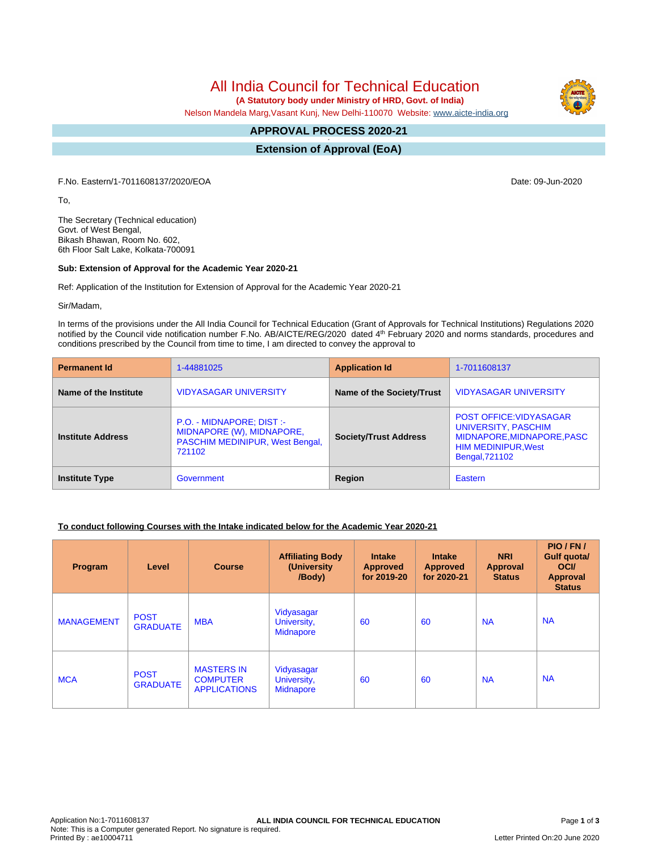All India Council for Technical Education

 **(A Statutory body under Ministry of HRD, Govt. of India)**

Nelson Mandela Marg,Vasant Kunj, New Delhi-110070 Website: [www.aicte-india.org](http://www.aicte-india.org)

#### **APPROVAL PROCESS 2020-21 -**

**Extension of Approval (EoA)**

F.No. Eastern/1-7011608137/2020/EOA Date: 09-Jun-2020

To,

The Secretary (Technical education) Govt. of West Bengal, Bikash Bhawan, Room No. 602, 6th Floor Salt Lake, Kolkata-700091

#### **Sub: Extension of Approval for the Academic Year 2020-21**

Ref: Application of the Institution for Extension of Approval for the Academic Year 2020-21

Sir/Madam,

In terms of the provisions under the All India Council for Technical Education (Grant of Approvals for Technical Institutions) Regulations 2020 notified by the Council vide notification number F.No. AB/AICTE/REG/2020 dated 4<sup>th</sup> February 2020 and norms standards, procedures and conditions prescribed by the Council from time to time, I am directed to convey the approval to

| <b>Permanent Id</b>      | 1-44881025                                                                                                 | <b>Application Id</b>        | 1-7011608137                                                                                                                               |  |
|--------------------------|------------------------------------------------------------------------------------------------------------|------------------------------|--------------------------------------------------------------------------------------------------------------------------------------------|--|
| Name of the Institute    | <b>VIDYASAGAR UNIVERSITY</b>                                                                               | Name of the Society/Trust    | <b>VIDYASAGAR UNIVERSITY</b>                                                                                                               |  |
| <b>Institute Address</b> | P.O. - MIDNAPORE; DIST :-<br>MIDNAPORE (W), MIDNAPORE,<br><b>PASCHIM MEDINIPUR, West Bengal,</b><br>721102 | <b>Society/Trust Address</b> | <b>POST OFFICE: VIDYASAGAR</b><br>UNIVERSITY, PASCHIM<br>MIDNAPORE, MIDNAPORE, PASC<br><b>HIM MEDINIPUR, West</b><br><b>Bengal, 721102</b> |  |
| <b>Institute Type</b>    | Government                                                                                                 | Region                       | Eastern                                                                                                                                    |  |

## **To conduct following Courses with the Intake indicated below for the Academic Year 2020-21**

| Program           | Level                          | <b>Course</b>                                               | <b>Affiliating Body</b><br>(University<br>/Body) | <b>Intake</b><br><b>Approved</b><br>for 2019-20 | <b>Intake</b><br><b>Approved</b><br>for 2020-21 | <b>NRI</b><br>Approval<br><b>Status</b> | PIO/FN/<br>Gulf quota/<br><b>OCI</b><br><b>Approval</b><br><b>Status</b> |
|-------------------|--------------------------------|-------------------------------------------------------------|--------------------------------------------------|-------------------------------------------------|-------------------------------------------------|-----------------------------------------|--------------------------------------------------------------------------|
| <b>MANAGEMENT</b> | <b>POST</b><br><b>GRADUATE</b> | <b>MBA</b>                                                  | Vidyasagar<br>University,<br><b>Midnapore</b>    | 60                                              | 60                                              | <b>NA</b>                               | <b>NA</b>                                                                |
| <b>MCA</b>        | <b>POST</b><br><b>GRADUATE</b> | <b>MASTERS IN</b><br><b>COMPUTER</b><br><b>APPLICATIONS</b> | Vidyasagar<br>University,<br><b>Midnapore</b>    | 60                                              | 60                                              | <b>NA</b>                               | <b>NA</b>                                                                |

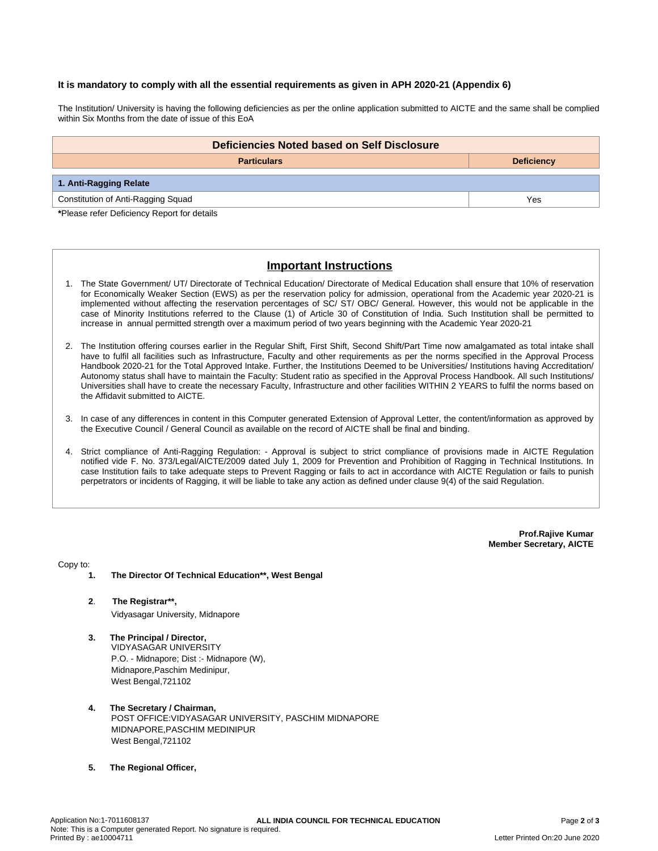#### **It is mandatory to comply with all the essential requirements as given in APH 2020-21 (Appendix 6)**

The Institution/ University is having the following deficiencies as per the online application submitted to AICTE and the same shall be complied within Six Months from the date of issue of this EoA

| Deficiencies Noted based on Self Disclosure |                   |  |  |  |  |
|---------------------------------------------|-------------------|--|--|--|--|
| <b>Particulars</b>                          | <b>Deficiency</b> |  |  |  |  |
| 1. Anti-Ragging Relate                      |                   |  |  |  |  |
| Constitution of Anti-Ragging Squad          | Yes               |  |  |  |  |

**\***Please refer Deficiency Report for details

# **Important Instructions**

- 1. The State Government/ UT/ Directorate of Technical Education/ Directorate of Medical Education shall ensure that 10% of reservation for Economically Weaker Section (EWS) as per the reservation policy for admission, operational from the Academic year 2020-21 is implemented without affecting the reservation percentages of SC/ ST/ OBC/ General. However, this would not be applicable in the case of Minority Institutions referred to the Clause (1) of Article 30 of Constitution of India. Such Institution shall be permitted to increase in annual permitted strength over a maximum period of two years beginning with the Academic Year 2020-21
- 2. The Institution offering courses earlier in the Regular Shift, First Shift, Second Shift/Part Time now amalgamated as total intake shall have to fulfil all facilities such as Infrastructure, Faculty and other requirements as per the norms specified in the Approval Process Handbook 2020-21 for the Total Approved Intake. Further, the Institutions Deemed to be Universities/ Institutions having Accreditation/ Autonomy status shall have to maintain the Faculty: Student ratio as specified in the Approval Process Handbook. All such Institutions/ Universities shall have to create the necessary Faculty, Infrastructure and other facilities WITHIN 2 YEARS to fulfil the norms based on the Affidavit submitted to AICTE.
- 3. In case of any differences in content in this Computer generated Extension of Approval Letter, the content/information as approved by the Executive Council / General Council as available on the record of AICTE shall be final and binding.
- 4. Strict compliance of Anti-Ragging Regulation: Approval is subject to strict compliance of provisions made in AICTE Regulation notified vide F. No. 373/Legal/AICTE/2009 dated July 1, 2009 for Prevention and Prohibition of Ragging in Technical Institutions. In case Institution fails to take adequate steps to Prevent Ragging or fails to act in accordance with AICTE Regulation or fails to punish perpetrators or incidents of Ragging, it will be liable to take any action as defined under clause 9(4) of the said Regulation.

**Prof.Rajive Kumar Member Secretary, AICTE**

Copy to:

- **1. The Director Of Technical Education\*\*, West Bengal**
- **2**. **The Registrar\*\*,** Vidyasagar University, Midnapore
- **3. The Principal / Director,** VIDYASAGAR UNIVERSITY P.O. - Midnapore; Dist :- Midnapore (W), Midnapore,Paschim Medinipur, West Bengal,721102
- **4. The Secretary / Chairman,** POST OFFICE:VIDYASAGAR UNIVERSITY, PASCHIM MIDNAPORE MIDNAPORE,PASCHIM MEDINIPUR West Bengal,721102
- **5. The Regional Officer,**